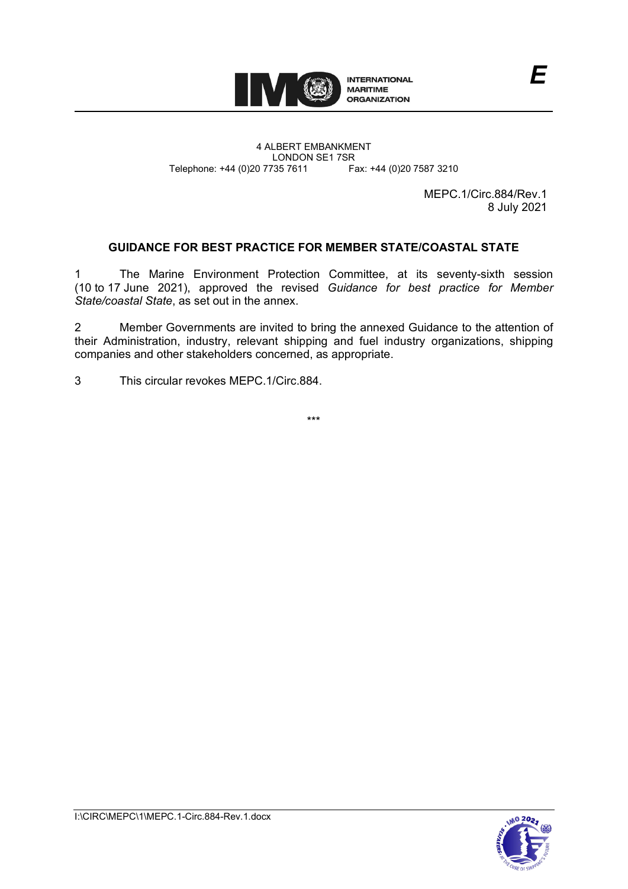

4 ALBERT EMBANKMENT Telephone: +44 (0)20 7735 7611

LONDON SE1 7SR<br>735 7611 Fax: +44 (0)20 7587 3210

MEPC.1/Circ.884/Rev.1 8 July 2021

*E*

# **GUIDANCE FOR BEST PRACTICE FOR MEMBER STATE/COASTAL STATE**

1 The Marine Environment Protection Committee, at its seventy-sixth session (10 to 17 June 2021), approved the revised *Guidance for best practice for Member State/coastal State*, as set out in the annex.

2 Member Governments are invited to bring the annexed Guidance to the attention of their Administration, industry, relevant shipping and fuel industry organizations, shipping companies and other stakeholders concerned, as appropriate.

3 This circular revokes MEPC.1/Circ.884.

\*\*\*

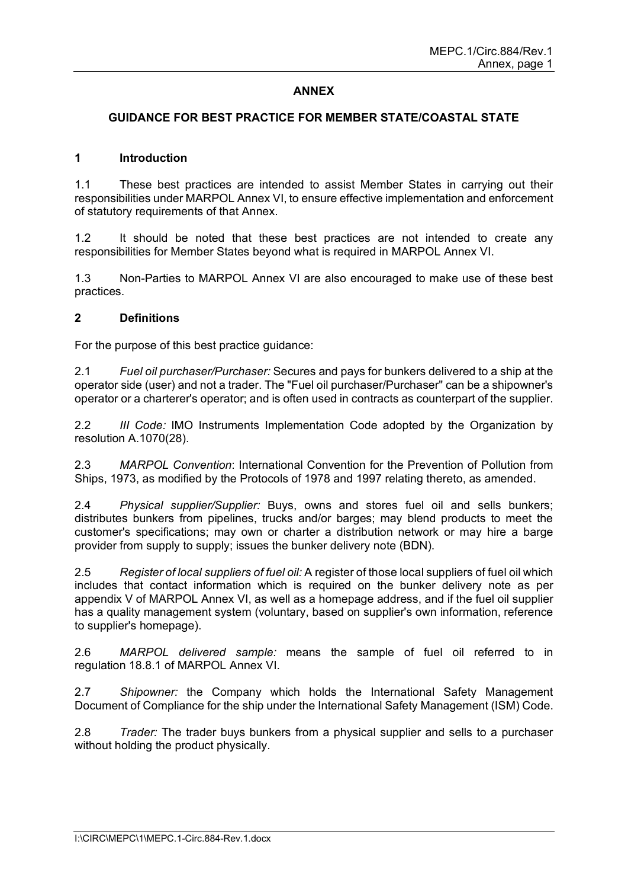## **ANNEX**

### **GUIDANCE FOR BEST PRACTICE FOR MEMBER STATE/COASTAL STATE**

#### **1 Introduction**

1.1 These best practices are intended to assist Member States in carrying out their responsibilities under MARPOL Annex VI, to ensure effective implementation and enforcement of statutory requirements of that Annex.

1.2 It should be noted that these best practices are not intended to create any responsibilities for Member States beyond what is required in MARPOL Annex VI.

1.3 Non-Parties to MARPOL Annex VI are also encouraged to make use of these best practices.

#### **2 Definitions**

For the purpose of this best practice guidance:

2.1 *Fuel oil purchaser/Purchaser:* Secures and pays for bunkers delivered to a ship at the operator side (user) and not a trader. The "Fuel oil purchaser/Purchaser" can be a shipowner's operator or a charterer's operator; and is often used in contracts as counterpart of the supplier.

2.2 *III Code:* IMO Instruments Implementation Code adopted by the Organization by resolution A.1070(28).

2.3 *MARPOL Convention*: International Convention for the Prevention of Pollution from Ships, 1973, as modified by the Protocols of 1978 and 1997 relating thereto, as amended.

2.4 *Physical supplier/Supplier:* Buys, owns and stores fuel oil and sells bunkers; distributes bunkers from pipelines, trucks and/or barges; may blend products to meet the customer's specifications; may own or charter a distribution network or may hire a barge provider from supply to supply; issues the bunker delivery note (BDN).

2.5 *Register of local suppliers of fuel oil:* A register of those local suppliers of fuel oil which includes that contact information which is required on the bunker delivery note as per appendix V of MARPOL Annex VI, as well as a homepage address, and if the fuel oil supplier has a quality management system (voluntary, based on supplier's own information, reference to supplier's homepage).

2.6 *MARPOL delivered sample:* means the sample of fuel oil referred to in regulation 18.8.1 of MARPOL Annex VI.

2.7 *Shipowner:* the Company which holds the International Safety Management Document of Compliance for the ship under the International Safety Management (ISM) Code.

2.8 *Trader:* The trader buys bunkers from a physical supplier and sells to a purchaser without holding the product physically.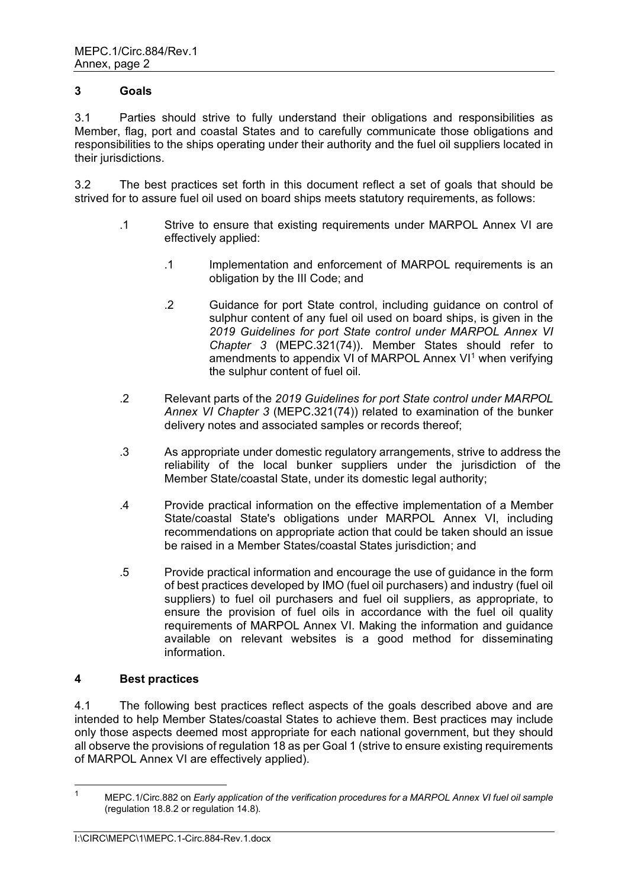### **3 Goals**

3.1 Parties should strive to fully understand their obligations and responsibilities as Member, flag, port and coastal States and to carefully communicate those obligations and responsibilities to the ships operating under their authority and the fuel oil suppliers located in their jurisdictions.

3.2 The best practices set forth in this document reflect a set of goals that should be strived for to assure fuel oil used on board ships meets statutory requirements, as follows:

- .1 Strive to ensure that existing requirements under MARPOL Annex VI are effectively applied:
	- .1 Implementation and enforcement of MARPOL requirements is an obligation by the III Code; and
	- .2 Guidance for port State control, including guidance on control of sulphur content of any fuel oil used on board ships, is given in the *2019 Guidelines for port State control under MARPOL Annex VI Chapter 3* (MEPC.321(74)). Member States should refer to amendments to appendix VI of MARPOL Annex VI<sup>[1](#page-2-0)</sup> when verifying the sulphur content of fuel oil.
- .2 Relevant parts of the *2019 Guidelines for port State control under MARPOL Annex VI Chapter 3* (MEPC.321(74)) related to examination of the bunker delivery notes and associated samples or records thereof;
- .3 As appropriate under domestic regulatory arrangements, strive to address the reliability of the local bunker suppliers under the jurisdiction of the Member State/coastal State, under its domestic legal authority;
- .4 Provide practical information on the effective implementation of a Member State/coastal State's obligations under MARPOL Annex VI, including recommendations on appropriate action that could be taken should an issue be raised in a Member States/coastal States jurisdiction; and
- .5 Provide practical information and encourage the use of guidance in the form of best practices developed by IMO (fuel oil purchasers) and industry (fuel oil suppliers) to fuel oil purchasers and fuel oil suppliers, as appropriate, to ensure the provision of fuel oils in accordance with the fuel oil quality requirements of MARPOL Annex VI. Making the information and guidance available on relevant websites is a good method for disseminating information.

### **4 Best practices**

4.1 The following best practices reflect aspects of the goals described above and are intended to help Member States/coastal States to achieve them. Best practices may include only those aspects deemed most appropriate for each national government, but they should all observe the provisions of regulation 18 as per Goal 1 (strive to ensure existing requirements of MARPOL Annex VI are effectively applied).

<span id="page-2-0"></span><sup>1</sup> MEPC.1/Circ.882 on *Early application of the verification procedures for a MARPOL Annex VI fuel oil sample* (regulation 18.8.2 or regulation 14.8).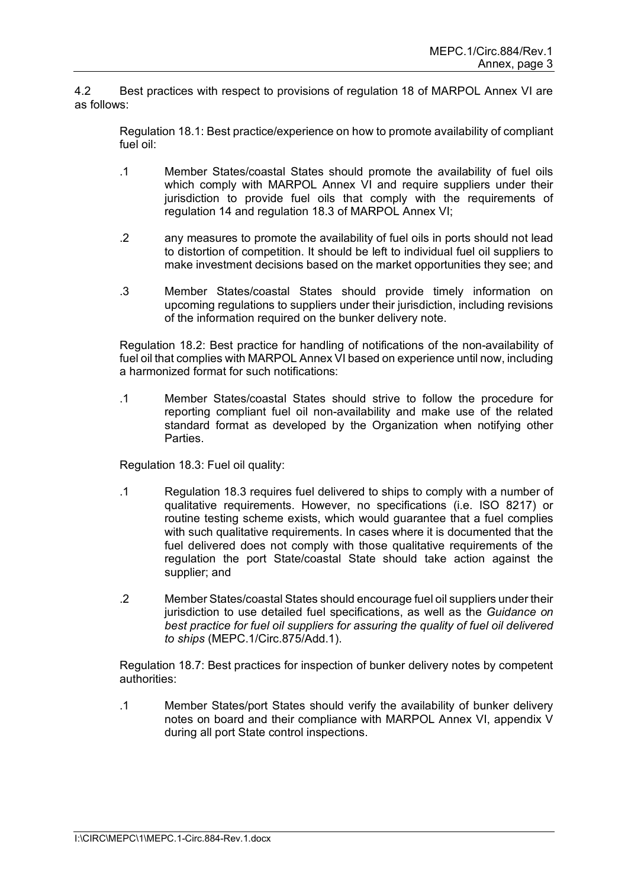4.2 Best practices with respect to provisions of regulation 18 of MARPOL Annex VI are as follows:

Regulation 18.1: Best practice/experience on how to promote availability of compliant fuel oil:

- .1 Member States/coastal States should promote the availability of fuel oils which comply with MARPOL Annex VI and require suppliers under their jurisdiction to provide fuel oils that comply with the requirements of regulation 14 and regulation 18.3 of MARPOL Annex VI;
- .2 any measures to promote the availability of fuel oils in ports should not lead to distortion of competition. It should be left to individual fuel oil suppliers to make investment decisions based on the market opportunities they see; and
- .3 Member States/coastal States should provide timely information on upcoming regulations to suppliers under their jurisdiction, including revisions of the information required on the bunker delivery note.

Regulation 18.2: Best practice for handling of notifications of the non-availability of fuel oil that complies with MARPOL Annex VI based on experience until now, including a harmonized format for such notifications:

.1 Member States/coastal States should strive to follow the procedure for reporting compliant fuel oil non-availability and make use of the related standard format as developed by the Organization when notifying other Parties.

Regulation 18.3: Fuel oil quality:

- .1 Regulation 18.3 requires fuel delivered to ships to comply with a number of qualitative requirements. However, no specifications (i.e. ISO 8217) or routine testing scheme exists, which would guarantee that a fuel complies with such qualitative requirements. In cases where it is documented that the fuel delivered does not comply with those qualitative requirements of the regulation the port State/coastal State should take action against the supplier; and
- .2 Member States/coastal States should encourage fuel oil suppliers under their jurisdiction to use detailed fuel specifications, as well as the *Guidance on best practice for fuel oil suppliers for assuring the quality of fuel oil delivered to ships* (MEPC.1/Circ.875/Add.1).

Regulation 18.7: Best practices for inspection of bunker delivery notes by competent authorities:

.1 Member States/port States should verify the availability of bunker delivery notes on board and their compliance with MARPOL Annex VI, appendix V during all port State control inspections.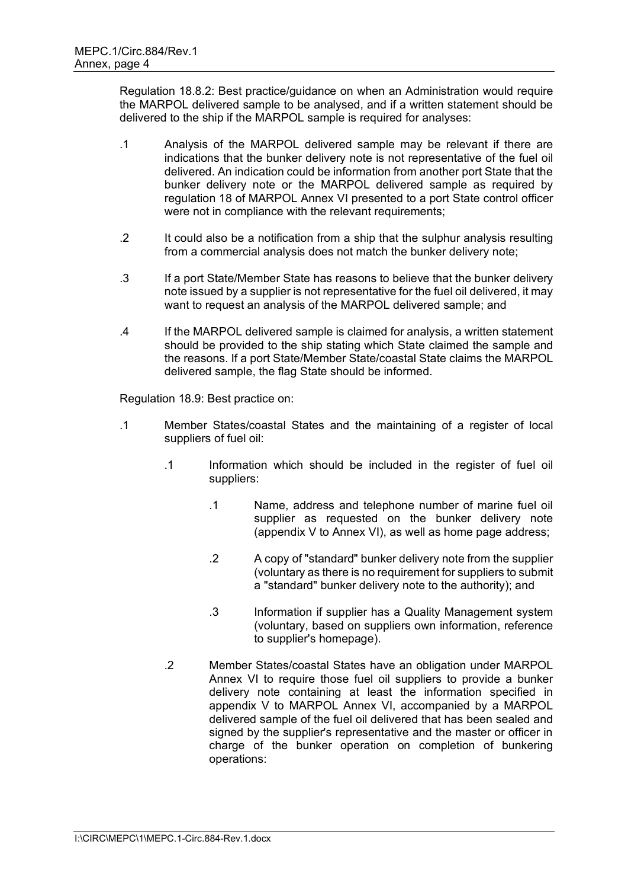Regulation 18.8.2: Best practice/guidance on when an Administration would require the MARPOL delivered sample to be analysed, and if a written statement should be delivered to the ship if the MARPOL sample is required for analyses:

- .1 Analysis of the MARPOL delivered sample may be relevant if there are indications that the bunker delivery note is not representative of the fuel oil delivered. An indication could be information from another port State that the bunker delivery note or the MARPOL delivered sample as required by regulation 18 of MARPOL Annex VI presented to a port State control officer were not in compliance with the relevant requirements;
- .2 It could also be a notification from a ship that the sulphur analysis resulting from a commercial analysis does not match the bunker delivery note;
- .3 If a port State/Member State has reasons to believe that the bunker delivery note issued by a supplier is not representative for the fuel oil delivered, it may want to request an analysis of the MARPOL delivered sample; and
- .4 If the MARPOL delivered sample is claimed for analysis, a written statement should be provided to the ship stating which State claimed the sample and the reasons. If a port State/Member State/coastal State claims the MARPOL delivered sample, the flag State should be informed.

Regulation 18.9: Best practice on:

- .1 Member States/coastal States and the maintaining of a register of local suppliers of fuel oil:
	- .1 Information which should be included in the register of fuel oil suppliers:
		- .1 Name, address and telephone number of marine fuel oil supplier as requested on the bunker delivery note (appendix V to Annex VI), as well as home page address;
		- .2 A copy of "standard" bunker delivery note from the supplier (voluntary as there is no requirement for suppliers to submit a "standard" bunker delivery note to the authority); and
		- .3 Information if supplier has a Quality Management system (voluntary, based on suppliers own information, reference to supplier's homepage).
	- .2 Member States/coastal States have an obligation under MARPOL Annex VI to require those fuel oil suppliers to provide a bunker delivery note containing at least the information specified in appendix V to MARPOL Annex VI, accompanied by a MARPOL delivered sample of the fuel oil delivered that has been sealed and signed by the supplier's representative and the master or officer in charge of the bunker operation on completion of bunkering operations: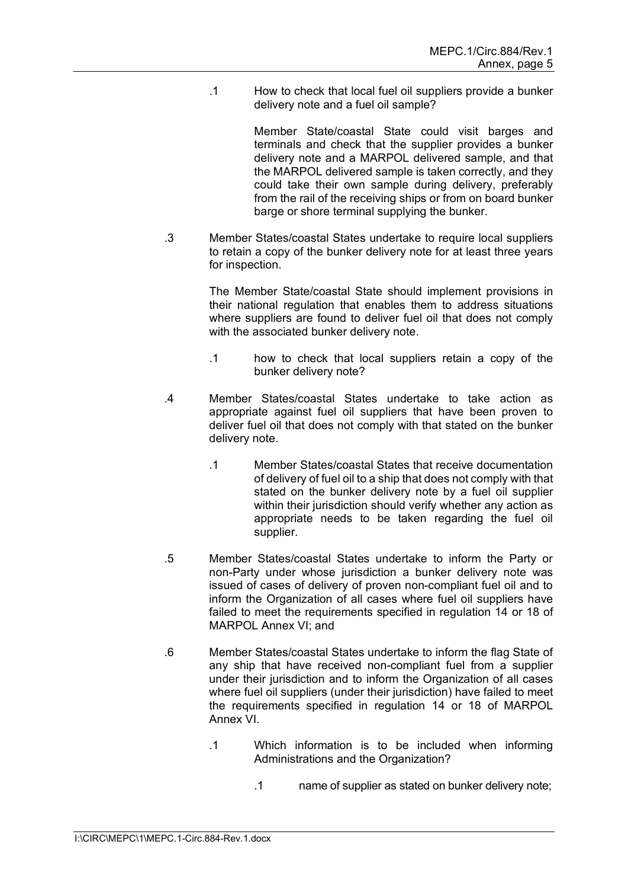.1 How to check that local fuel oil suppliers provide a bunker delivery note and a fuel oil sample?

> Member State/coastal State could visit barges and terminals and check that the supplier provides a bunker delivery note and a MARPOL delivered sample, and that the MARPOL delivered sample is taken correctly, and they could take their own sample during delivery, preferably from the rail of the receiving ships or from on board bunker barge or shore terminal supplying the bunker.

.3 Member States/coastal States undertake to require local suppliers to retain a copy of the bunker delivery note for at least three years for inspection.

> The Member State/coastal State should implement provisions in their national regulation that enables them to address situations where suppliers are found to deliver fuel oil that does not comply with the associated bunker delivery note.

- .1 how to check that local suppliers retain a copy of the bunker delivery note?
- .4 Member States/coastal States undertake to take action as appropriate against fuel oil suppliers that have been proven to deliver fuel oil that does not comply with that stated on the bunker delivery note.
	- .1 Member States/coastal States that receive documentation of delivery of fuel oil to a ship that does not comply with that stated on the bunker delivery note by a fuel oil supplier within their jurisdiction should verify whether any action as appropriate needs to be taken regarding the fuel oil supplier.
- .5 Member States/coastal States undertake to inform the Party or non-Party under whose jurisdiction a bunker delivery note was issued of cases of delivery of proven non-compliant fuel oil and to inform the Organization of all cases where fuel oil suppliers have failed to meet the requirements specified in regulation 14 or 18 of MARPOL Annex VI; and
- .6 Member States/coastal States undertake to inform the flag State of any ship that have received non-compliant fuel from a supplier under their jurisdiction and to inform the Organization of all cases where fuel oil suppliers (under their jurisdiction) have failed to meet the requirements specified in regulation 14 or 18 of MARPOL Annex VI.
	- .1 Which information is to be included when informing Administrations and the Organization?
		- .1 name of supplier as stated on bunker delivery note;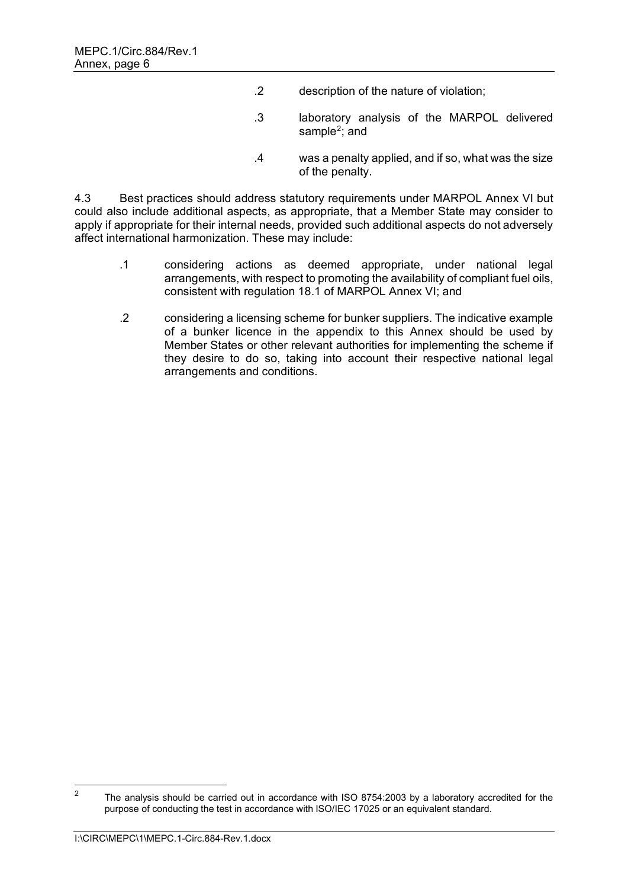- .2 description of the nature of violation;
- .3 laboratory analysis of the MARPOL delivered sample<sup>[2](#page-6-0)</sup>; and
- .4 was a penalty applied, and if so, what was the size of the penalty.

4.3 Best practices should address statutory requirements under MARPOL Annex VI but could also include additional aspects, as appropriate, that a Member State may consider to apply if appropriate for their internal needs, provided such additional aspects do not adversely affect international harmonization. These may include:

- .1 considering actions as deemed appropriate, under national legal arrangements, with respect to promoting the availability of compliant fuel oils, consistent with regulation 18.1 of MARPOL Annex VI; and
- .2 considering a licensing scheme for bunker suppliers. The indicative example of a bunker licence in the appendix to this Annex should be used by Member States or other relevant authorities for implementing the scheme if they desire to do so, taking into account their respective national legal arrangements and conditions.

<span id="page-6-0"></span><sup>&</sup>lt;sup>2</sup> The analysis should be carried out in accordance with ISO 8754:2003 by a laboratory accredited for the purpose of conducting the test in accordance with ISO/IEC 17025 or an equivalent standard.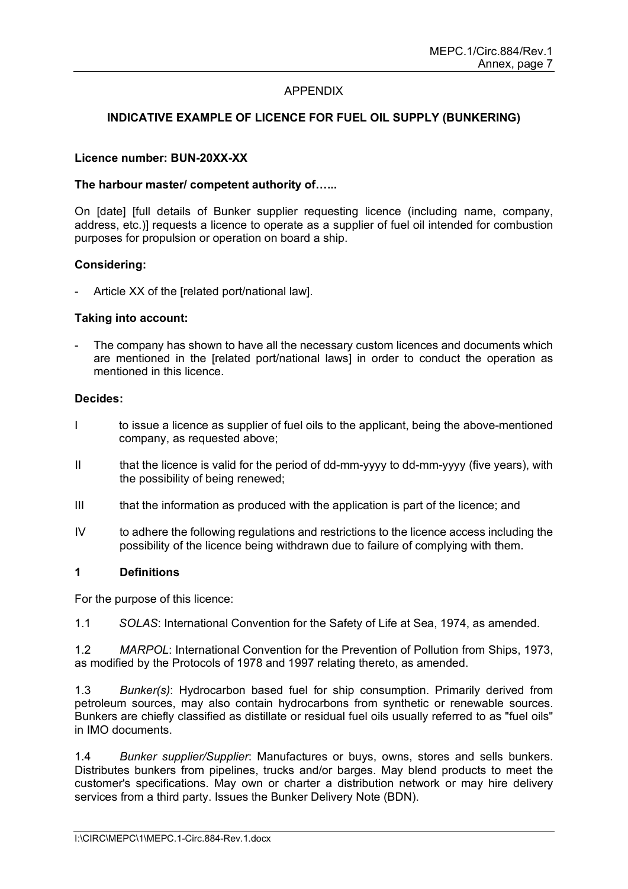### APPENDIX

# **INDICATIVE EXAMPLE OF LICENCE FOR FUEL OIL SUPPLY (BUNKERING)**

#### **Licence number: BUN-20XX-XX**

#### **The harbour master/ competent authority of…...**

On [date] [full details of Bunker supplier requesting licence (including name, company, address, etc.)] requests a licence to operate as a supplier of fuel oil intended for combustion purposes for propulsion or operation on board a ship.

#### **Considering:**

Article XX of the Irelated port/national lawl.

#### **Taking into account:**

The company has shown to have all the necessary custom licences and documents which are mentioned in the [related port/national laws] in order to conduct the operation as mentioned in this licence.

#### **Decides:**

- I to issue a licence as supplier of fuel oils to the applicant, being the above-mentioned company, as requested above;
- II that the licence is valid for the period of dd-mm-yyyy to dd-mm-yyyy (five years), with the possibility of being renewed;
- III that the information as produced with the application is part of the licence; and
- IV to adhere the following regulations and restrictions to the licence access including the possibility of the licence being withdrawn due to failure of complying with them.

### **1 Definitions**

For the purpose of this licence:

1.1 *SOLAS*: International Convention for the Safety of Life at Sea, 1974, as amended.

1.2 *MARPOL*: International Convention for the Prevention of Pollution from Ships, 1973, as modified by the Protocols of 1978 and 1997 relating thereto, as amended.

1.3 *Bunker(s)*: Hydrocarbon based fuel for ship consumption. Primarily derived from petroleum sources, may also contain hydrocarbons from synthetic or renewable sources. Bunkers are chiefly classified as distillate or residual fuel oils usually referred to as "fuel oils" in IMO documents.

1.4 *Bunker supplier/Supplier*: Manufactures or buys, owns, stores and sells bunkers. Distributes bunkers from pipelines, trucks and/or barges. May blend products to meet the customer's specifications. May own or charter a distribution network or may hire delivery services from a third party. Issues the Bunker Delivery Note (BDN).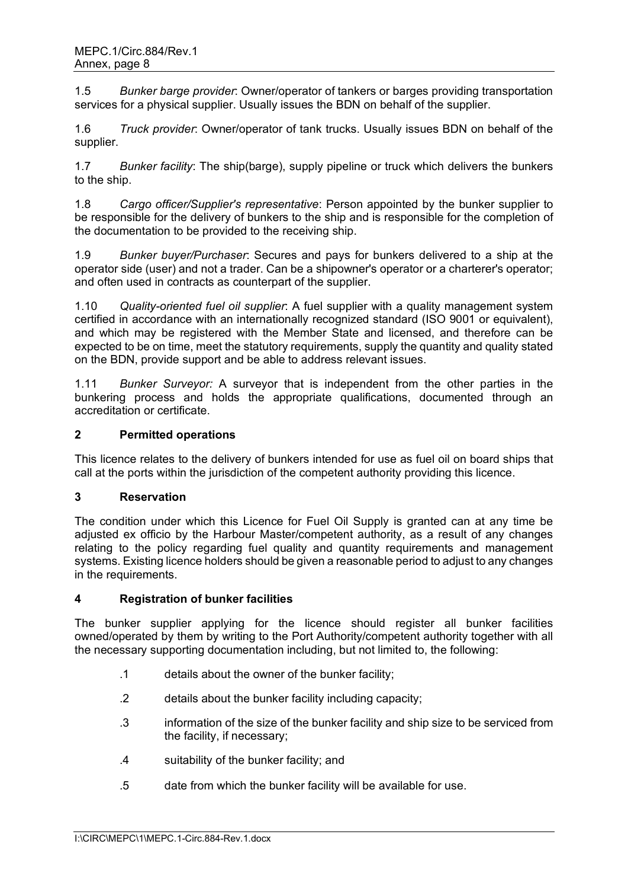1.5 *Bunker barge provider*: Owner/operator of tankers or barges providing transportation services for a physical supplier. Usually issues the BDN on behalf of the supplier.

1.6 *Truck provider*: Owner/operator of tank trucks. Usually issues BDN on behalf of the supplier.

1.7 *Bunker facility*: The ship(barge), supply pipeline or truck which delivers the bunkers to the ship.

1.8 *Cargo officer/Supplier's representative*: Person appointed by the bunker supplier to be responsible for the delivery of bunkers to the ship and is responsible for the completion of the documentation to be provided to the receiving ship.

1.9 *Bunker buyer/Purchaser*: Secures and pays for bunkers delivered to a ship at the operator side (user) and not a trader. Can be a shipowner's operator or a charterer's operator; and often used in contracts as counterpart of the supplier.

1.10 *Quality-oriented fuel oil supplier*: A fuel supplier with a quality management system certified in accordance with an internationally recognized standard (ISO 9001 or equivalent), and which may be registered with the Member State and licensed, and therefore can be expected to be on time, meet the statutory requirements, supply the quantity and quality stated on the BDN, provide support and be able to address relevant issues.

1.11 *Bunker Surveyor:* A surveyor that is independent from the other parties in the bunkering process and holds the appropriate qualifications, documented through an accreditation or certificate.

### **2 Permitted operations**

This licence relates to the delivery of bunkers intended for use as fuel oil on board ships that call at the ports within the jurisdiction of the competent authority providing this licence.

### **3 Reservation**

The condition under which this Licence for Fuel Oil Supply is granted can at any time be adjusted ex officio by the Harbour Master/competent authority, as a result of any changes relating to the policy regarding fuel quality and quantity requirements and management systems. Existing licence holders should be given a reasonable period to adjust to any changes in the requirements.

### **4 Registration of bunker facilities**

The bunker supplier applying for the licence should register all bunker facilities owned/operated by them by writing to the Port Authority/competent authority together with all the necessary supporting documentation including, but not limited to, the following:

- .1 details about the owner of the bunker facility;
- .2 details about the bunker facility including capacity;
- .3 information of the size of the bunker facility and ship size to be serviced from the facility, if necessary;
- .4 suitability of the bunker facility; and
- .5 date from which the bunker facility will be available for use.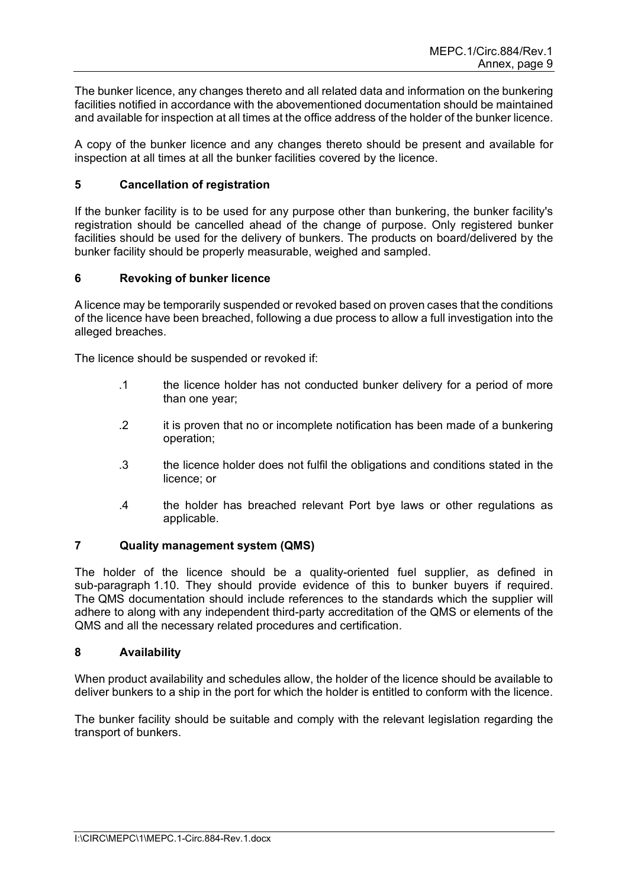The bunker licence, any changes thereto and all related data and information on the bunkering facilities notified in accordance with the abovementioned documentation should be maintained and available for inspection at all times at the office address of the holder of the bunker licence.

A copy of the bunker licence and any changes thereto should be present and available for inspection at all times at all the bunker facilities covered by the licence.

### **5 Cancellation of registration**

If the bunker facility is to be used for any purpose other than bunkering, the bunker facility's registration should be cancelled ahead of the change of purpose. Only registered bunker facilities should be used for the delivery of bunkers. The products on board/delivered by the bunker facility should be properly measurable, weighed and sampled.

#### **6 Revoking of bunker licence**

A licence may be temporarily suspended or revoked based on proven cases that the conditions of the licence have been breached, following a due process to allow a full investigation into the alleged breaches.

The licence should be suspended or revoked if:

- .1 the licence holder has not conducted bunker delivery for a period of more than one year;
- .2 it is proven that no or incomplete notification has been made of a bunkering operation;
- .3 the licence holder does not fulfil the obligations and conditions stated in the licence; or
- .4 the holder has breached relevant Port bye laws or other regulations as applicable.

#### **7 Quality management system (QMS)**

The holder of the licence should be a quality-oriented fuel supplier, as defined in sub-paragraph 1.10. They should provide evidence of this to bunker buyers if required. The QMS documentation should include references to the standards which the supplier will adhere to along with any independent third-party accreditation of the QMS or elements of the QMS and all the necessary related procedures and certification.

#### **8 Availability**

When product availability and schedules allow, the holder of the licence should be available to deliver bunkers to a ship in the port for which the holder is entitled to conform with the licence.

The bunker facility should be suitable and comply with the relevant legislation regarding the transport of bunkers.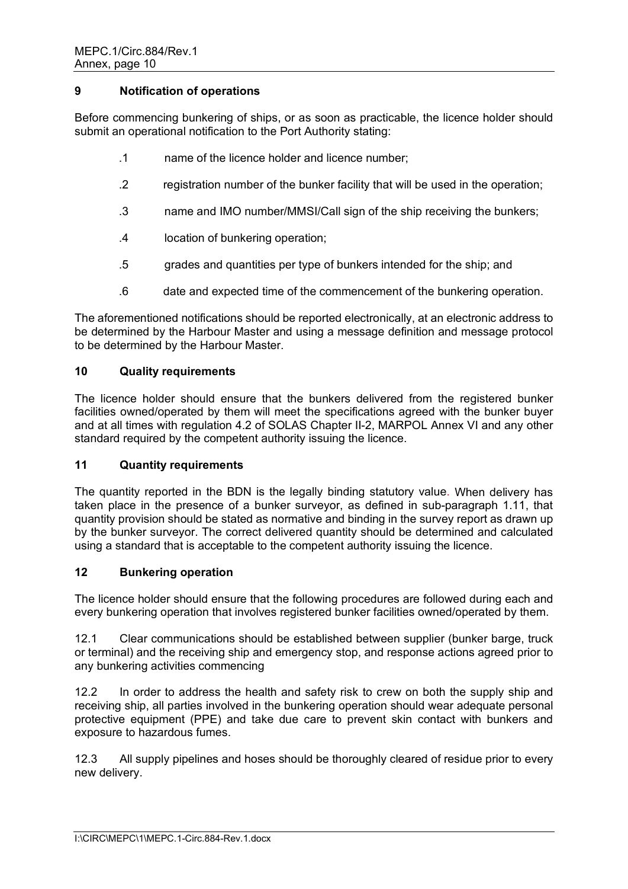### **9 Notification of operations**

Before commencing bunkering of ships, or as soon as practicable, the licence holder should submit an operational notification to the Port Authority stating:

- .1 name of the licence holder and licence number;
- .2 registration number of the bunker facility that will be used in the operation;
- .3 name and IMO number/MMSI/Call sign of the ship receiving the bunkers;
- .4 location of bunkering operation;
- .5 grades and quantities per type of bunkers intended for the ship; and
- .6 date and expected time of the commencement of the bunkering operation.

The aforementioned notifications should be reported electronically, at an electronic address to be determined by the Harbour Master and using a message definition and message protocol to be determined by the Harbour Master.

### **10 Quality requirements**

The licence holder should ensure that the bunkers delivered from the registered bunker facilities owned/operated by them will meet the specifications agreed with the bunker buyer and at all times with regulation 4.2 of SOLAS Chapter II-2, MARPOL Annex VI and any other standard required by the competent authority issuing the licence.

### **11 Quantity requirements**

The quantity reported in the BDN is the legally binding statutory value. When delivery has taken place in the presence of a bunker surveyor, as defined in sub-paragraph 1.11, that quantity provision should be stated as normative and binding in the survey report as drawn up by the bunker surveyor. The correct delivered quantity should be determined and calculated using a standard that is acceptable to the competent authority issuing the licence.

### **12 Bunkering operation**

The licence holder should ensure that the following procedures are followed during each and every bunkering operation that involves registered bunker facilities owned/operated by them.

12.1 Clear communications should be established between supplier (bunker barge, truck or terminal) and the receiving ship and emergency stop, and response actions agreed prior to any bunkering activities commencing

12.2 In order to address the health and safety risk to crew on both the supply ship and receiving ship, all parties involved in the bunkering operation should wear adequate personal protective equipment (PPE) and take due care to prevent skin contact with bunkers and exposure to hazardous fumes.

12.3 All supply pipelines and hoses should be thoroughly cleared of residue prior to every new delivery.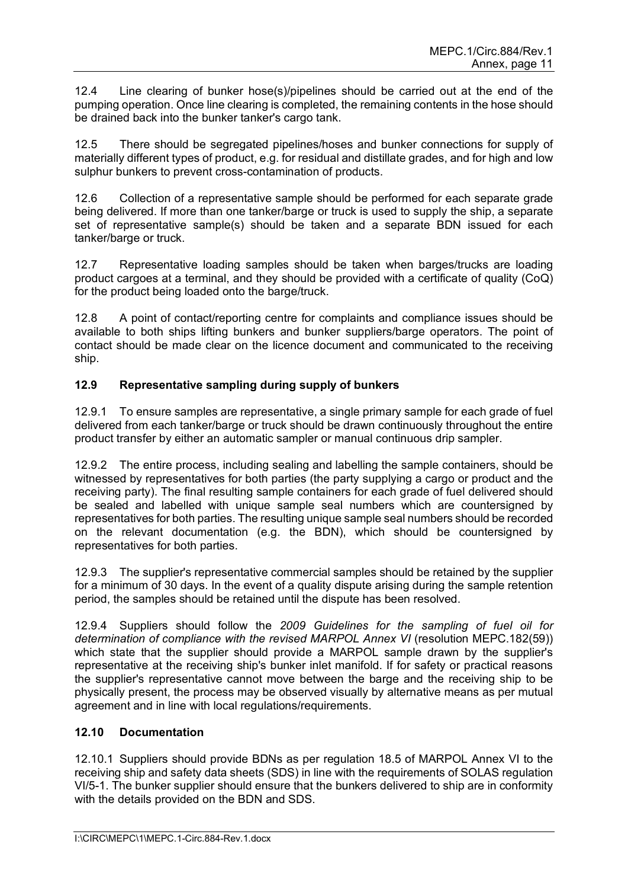12.4 Line clearing of bunker hose(s)/pipelines should be carried out at the end of the pumping operation. Once line clearing is completed, the remaining contents in the hose should be drained back into the bunker tanker's cargo tank.

12.5 There should be segregated pipelines/hoses and bunker connections for supply of materially different types of product, e.g. for residual and distillate grades, and for high and low sulphur bunkers to prevent cross-contamination of products.

12.6 Collection of a representative sample should be performed for each separate grade being delivered. If more than one tanker/barge or truck is used to supply the ship, a separate set of representative sample(s) should be taken and a separate BDN issued for each tanker/barge or truck.

12.7 Representative loading samples should be taken when barges/trucks are loading product cargoes at a terminal, and they should be provided with a certificate of quality (CoQ) for the product being loaded onto the barge/truck.

12.8 A point of contact/reporting centre for complaints and compliance issues should be available to both ships lifting bunkers and bunker suppliers/barge operators. The point of contact should be made clear on the licence document and communicated to the receiving ship.

# **12.9 Representative sampling during supply of bunkers**

12.9.1 To ensure samples are representative, a single primary sample for each grade of fuel delivered from each tanker/barge or truck should be drawn continuously throughout the entire product transfer by either an automatic sampler or manual continuous drip sampler.

12.9.2 The entire process, including sealing and labelling the sample containers, should be witnessed by representatives for both parties (the party supplying a cargo or product and the receiving party). The final resulting sample containers for each grade of fuel delivered should be sealed and labelled with unique sample seal numbers which are countersigned by representatives for both parties. The resulting unique sample seal numbers should be recorded on the relevant documentation (e.g. the BDN), which should be countersigned by representatives for both parties.

12.9.3 The supplier's representative commercial samples should be retained by the supplier for a minimum of 30 days. In the event of a quality dispute arising during the sample retention period, the samples should be retained until the dispute has been resolved.

12.9.4 Suppliers should follow the *2009 Guidelines for the sampling of fuel oil for determination of compliance with the revised MARPOL Annex VI* (resolution MEPC.182(59)) which state that the supplier should provide a MARPOL sample drawn by the supplier's representative at the receiving ship's bunker inlet manifold. If for safety or practical reasons the supplier's representative cannot move between the barge and the receiving ship to be physically present, the process may be observed visually by alternative means as per mutual agreement and in line with local regulations/requirements.

# **12.10 Documentation**

12.10.1 Suppliers should provide BDNs as per regulation 18.5 of MARPOL Annex VI to the receiving ship and safety data sheets (SDS) in line with the requirements of SOLAS regulation VI/5-1. The bunker supplier should ensure that the bunkers delivered to ship are in conformity with the details provided on the BDN and SDS.